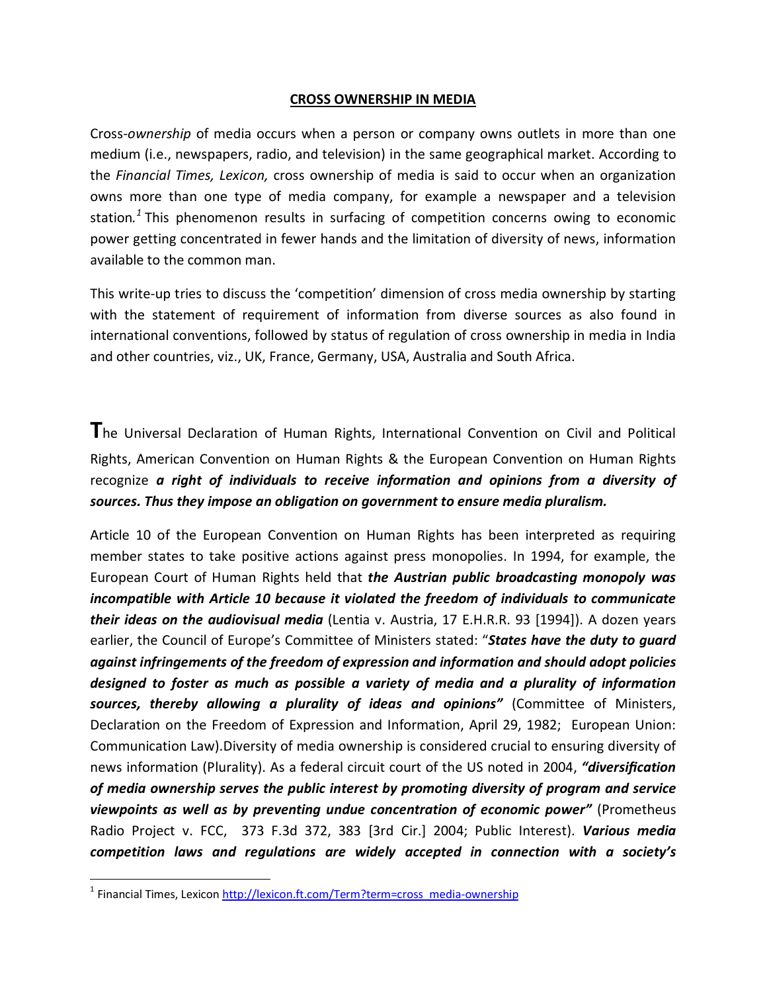#### **CROSS OWNERSHIP IN MEDIA**

Cross-*ownership* of media occurs when a person or company owns outlets in more than one medium (i.e., newspapers, radio, and television) in the same geographical market. According to the *Financial Times, Lexicon,* cross ownership of media is said to occur when an organization owns more than one type of media company, for example a newspaper and a television station*. <sup>1</sup>* This phenomenon results in surfacing of competition concerns owing to economic power getting concentrated in fewer hands and the limitation of diversity of news, information available to the common man.

This write-up tries to discuss the 'competition' dimension of cross media ownership by starting with the statement of requirement of information from diverse sources as also found in international conventions, followed by status of regulation of cross ownership in media in India and other countries, viz., UK, France, Germany, USA, Australia and South Africa.

**T**he Universal Declaration of Human Rights, International Convention on Civil and Political Rights, American Convention on Human Rights & the European Convention on Human Rights recognize *a right of individuals to receive information and opinions from a diversity of sources. Thus they impose an obligation on government to ensure media pluralism.*

Article 10 of the European Convention on Human Rights has been interpreted as requiring member states to take positive actions against press monopolies. In 1994, for example, the European Court of Human Rights held that *the Austrian public broadcasting monopoly was incompatible with Article 10 because it violated the freedom of individuals to communicate their ideas on the audiovisual media* (Lentia v. Austria, 17 E.H.R.R. 93 [1994]). A dozen years earlier, the Council of Europe's Committee of Ministers stated: "*States have the duty to guard against infringements of the freedom of expression and information and should adopt policies designed to foster as much as possible a variety of media and a plurality of information sources, thereby allowing a plurality of ideas and opinions"* (Committee of Ministers, Declaration on the Freedom of Expression and Information, April 29, 1982; European Union: Communication Law).Diversity of media ownership is considered crucial to ensuring diversity of news information (Plurality). As a federal circuit court of the US noted in 2004, *"diversification of media ownership serves the public interest by promoting diversity of program and service viewpoints as well as by preventing undue concentration of economic power"* (Prometheus Radio Project v. FCC, 373 F.3d 372, 383 [3rd Cir.] 2004; Public Interest). *Various media competition laws and regulations are widely accepted in connection with a society's* 

<sup>&</sup>lt;sup>1</sup> Financial Times, Lexicon http://lexicon.ft.com/Term?term=cross\_media-ownership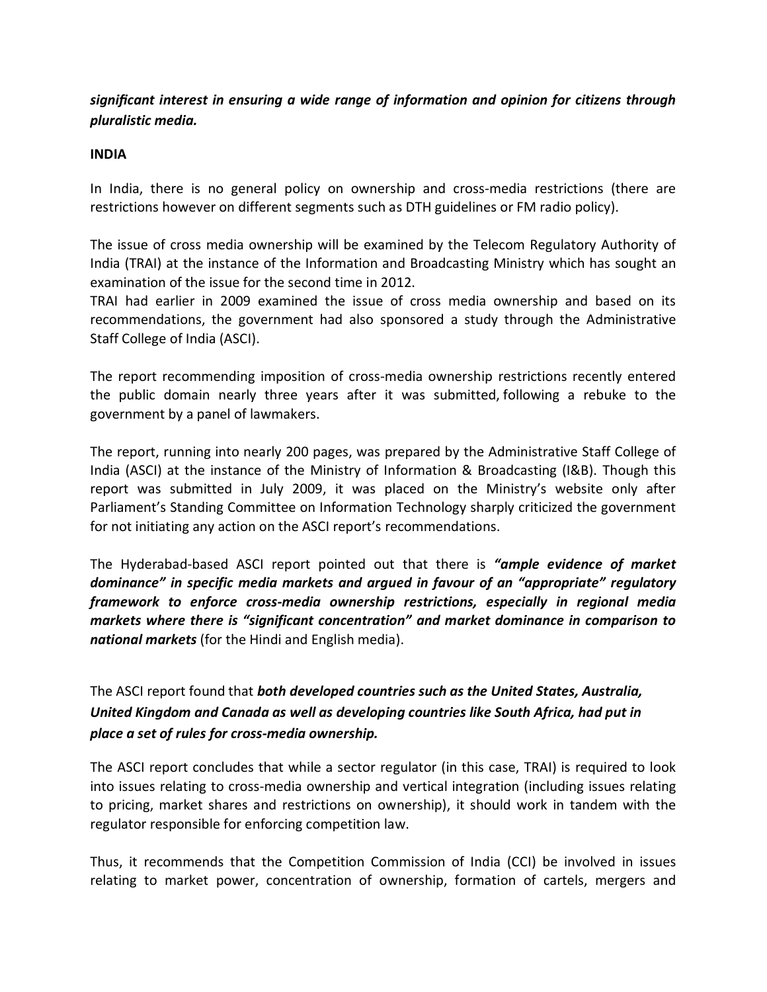# *significant interest in ensuring a wide range of information and opinion for citizens through pluralistic media.*

#### **INDIA**

In India, there is no general policy on ownership and cross-media restrictions (there are restrictions however on different segments such as DTH guidelines or FM radio policy).

The issue of cross media ownership will be examined by the Telecom Regulatory Authority of India (TRAI) at the instance of the Information and Broadcasting Ministry which has sought an examination of the issue for the second time in 2012.

TRAI had earlier in 2009 examined the issue of cross media ownership and based on its recommendations, the government had also sponsored a study through the Administrative Staff College of India (ASCI).

The report recommending imposition of cross-media ownership restrictions recently entered the public domain nearly three years after it was submitted, following a rebuke to the government by a panel of lawmakers.

The report, running into nearly 200 pages, was prepared by the Administrative Staff College of India (ASCI) at the instance of the Ministry of Information & Broadcasting (I&B). Though this report was submitted in July 2009, it was placed on the Ministry's website only after Parliament's Standing Committee on Information Technology sharply criticized the government for not initiating any action on the ASCI report's recommendations.

The Hyderabad-based ASCI report pointed out that there is *"ample evidence of market dominance" in specific media markets and argued in favour of an "appropriate" regulatory framework to enforce cross-media ownership restrictions, especially in regional media markets where there is "significant concentration" and market dominance in comparison to national markets* (for the Hindi and English media).

The ASCI report found that *both developed countries such as the United States, Australia, United Kingdom and Canada as well as developing countries like South Africa, had put in place a set of rules for cross-media ownership.*

The ASCI report concludes that while a sector regulator (in this case, TRAI) is required to look into issues relating to cross-media ownership and vertical integration (including issues relating to pricing, market shares and restrictions on ownership), it should work in tandem with the regulator responsible for enforcing competition law.

Thus, it recommends that the Competition Commission of India (CCI) be involved in issues relating to market power, concentration of ownership, formation of cartels, mergers and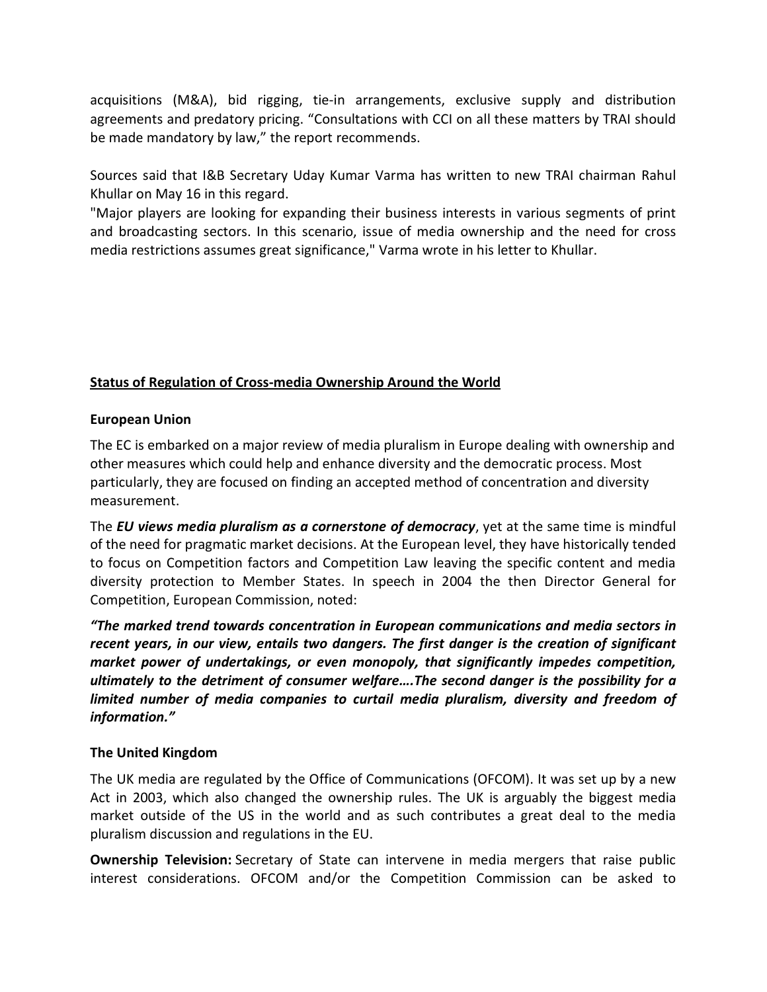acquisitions (M&A), bid rigging, tie-in arrangements, exclusive supply and distribution agreements and predatory pricing. "Consultations with CCI on all these matters by TRAI should be made mandatory by law," the report recommends.

Sources said that I&B Secretary Uday Kumar Varma has written to new TRAI chairman Rahul Khullar on May 16 in this regard.

"Major players are looking for expanding their business interests in various segments of print and broadcasting sectors. In this scenario, issue of media ownership and the need for cross media restrictions assumes great significance," Varma wrote in his letter to Khullar.

## **Status of Regulation of Cross-media Ownership Around the World**

## **European Union**

The EC is embarked on a major review of media pluralism in Europe dealing with ownership and other measures which could help and enhance diversity and the democratic process. Most particularly, they are focused on finding an accepted method of concentration and diversity measurement.

The *EU views media pluralism as a cornerstone of democracy*, yet at the same time is mindful of the need for pragmatic market decisions. At the European level, they have historically tended to focus on Competition factors and Competition Law leaving the specific content and media diversity protection to Member States. In speech in 2004 the then Director General for Competition, European Commission, noted:

*"The marked trend towards concentration in European communications and media sectors in recent years, in our view, entails two dangers. The first danger is the creation of significant market power of undertakings, or even monopoly, that significantly impedes competition, ultimately to the detriment of consumer welfare….The second danger is the possibility for a*  limited number of media companies to curtail media pluralism, diversity and freedom of *information."*

## **The United Kingdom**

The UK media are regulated by the Office of Communications (OFCOM). It was set up by a new Act in 2003, which also changed the ownership rules. The UK is arguably the biggest media market outside of the US in the world and as such contributes a great deal to the media pluralism discussion and regulations in the EU.

**Ownership Television:** Secretary of State can intervene in media mergers that raise public interest considerations. OFCOM and/or the Competition Commission can be asked to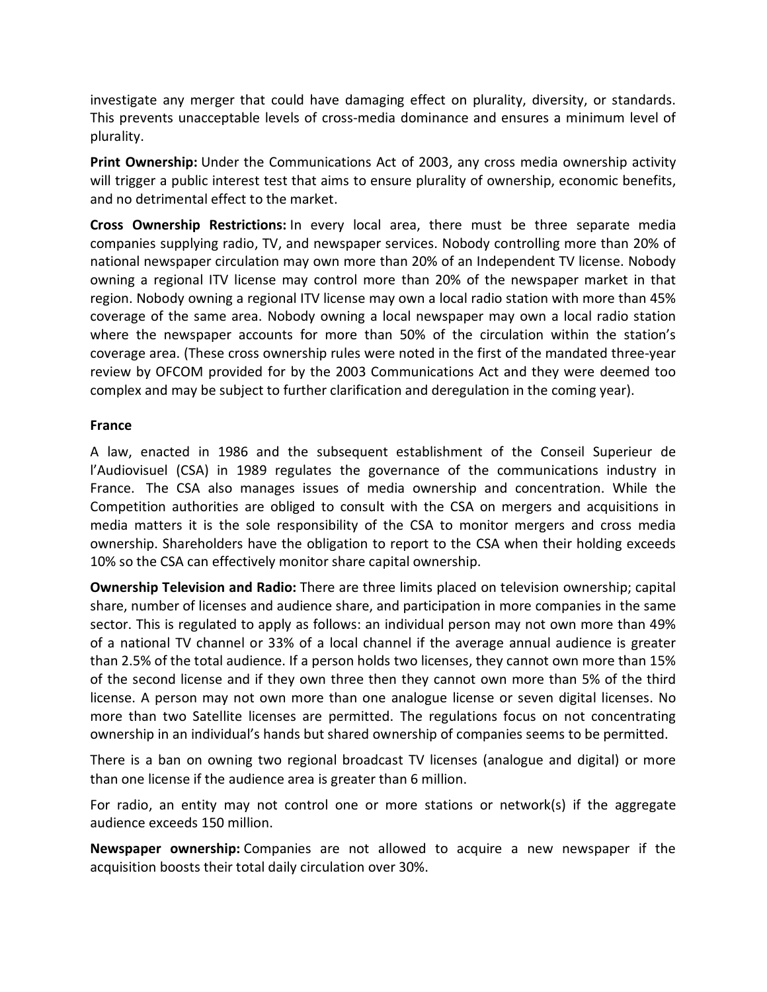investigate any merger that could have damaging effect on plurality, diversity, or standards. This prevents unacceptable levels of cross-media dominance and ensures a minimum level of plurality.

**Print Ownership:** Under the Communications Act of 2003, any cross media ownership activity will trigger a public interest test that aims to ensure plurality of ownership, economic benefits, and no detrimental effect to the market.

**Cross Ownership Restrictions:** In every local area, there must be three separate media companies supplying radio, TV, and newspaper services. Nobody controlling more than 20% of national newspaper circulation may own more than 20% of an Independent TV license. Nobody owning a regional ITV license may control more than 20% of the newspaper market in that region. Nobody owning a regional ITV license may own a local radio station with more than 45% coverage of the same area. Nobody owning a local newspaper may own a local radio station where the newspaper accounts for more than 50% of the circulation within the station's coverage area. (These cross ownership rules were noted in the first of the mandated three-year review by OFCOM provided for by the 2003 Communications Act and they were deemed too complex and may be subject to further clarification and deregulation in the coming year).

#### **France**

A law, enacted in 1986 and the subsequent establishment of the Conseil Superieur de l'Audiovisuel (CSA) in 1989 regulates the governance of the communications industry in France. The CSA also manages issues of media ownership and concentration. While the Competition authorities are obliged to consult with the CSA on mergers and acquisitions in media matters it is the sole responsibility of the CSA to monitor mergers and cross media ownership. Shareholders have the obligation to report to the CSA when their holding exceeds 10% so the CSA can effectively monitor share capital ownership.

**Ownership Television and Radio:** There are three limits placed on television ownership; capital share, number of licenses and audience share, and participation in more companies in the same sector. This is regulated to apply as follows: an individual person may not own more than 49% of a national TV channel or 33% of a local channel if the average annual audience is greater than 2.5% of the total audience. If a person holds two licenses, they cannot own more than 15% of the second license and if they own three then they cannot own more than 5% of the third license. A person may not own more than one analogue license or seven digital licenses. No more than two Satellite licenses are permitted. The regulations focus on not concentrating ownership in an individual's hands but shared ownership of companies seems to be permitted.

There is a ban on owning two regional broadcast TV licenses (analogue and digital) or more than one license if the audience area is greater than 6 million.

For radio, an entity may not control one or more stations or network(s) if the aggregate audience exceeds 150 million.

**Newspaper ownership:** Companies are not allowed to acquire a new newspaper if the acquisition boosts their total daily circulation over 30%.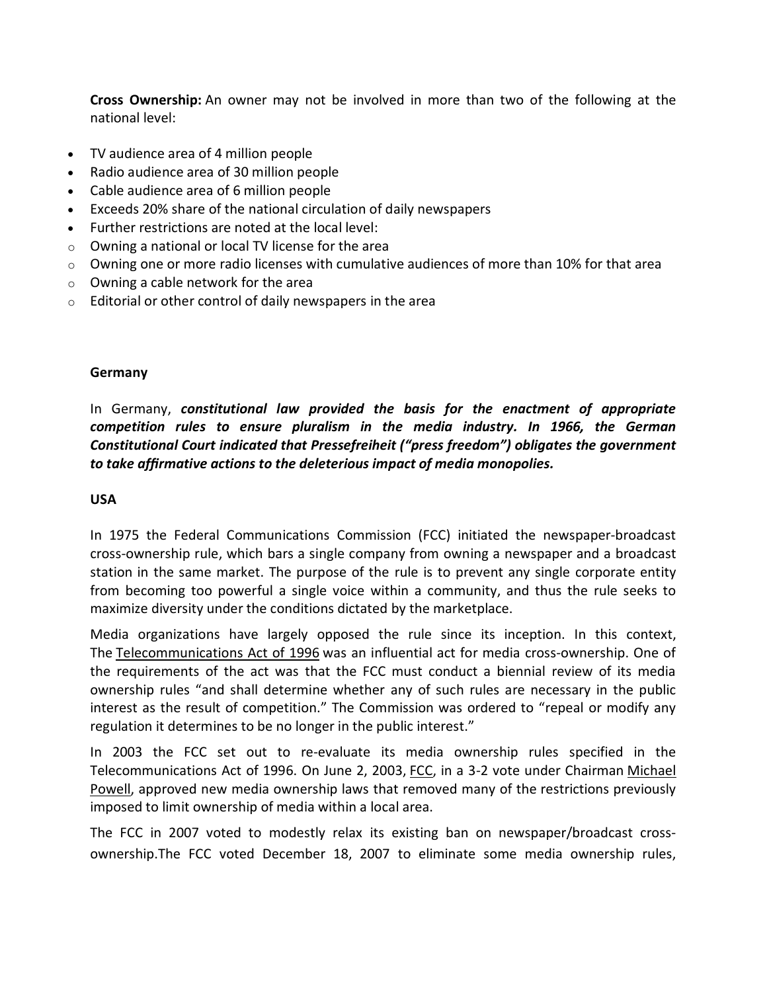**Cross Ownership:** An owner may not be involved in more than two of the following at the national level:

- · TV audience area of 4 million people
- · Radio audience area of 30 million people
- · Cable audience area of 6 million people
- · Exceeds 20% share of the national circulation of daily newspapers
- Further restrictions are noted at the local level:
- o Owning a national or local TV license for the area
- $\circ$  Owning one or more radio licenses with cumulative audiences of more than 10% for that area
- o Owning a cable network for the area
- o Editorial or other control of daily newspapers in the area

#### **Germany**

In Germany, *constitutional law provided the basis for the enactment of appropriate competition rules to ensure pluralism in the media industry. In 1966, the German Constitutional Court indicated that Pressefreiheit ("press freedom") obligates the government to take affirmative actions to the deleterious impact of media monopolies.*

#### **USA**

In 1975 the Federal Communications Commission (FCC) initiated the newspaper-broadcast cross-ownership rule, which bars a single company from owning a newspaper and a broadcast station in the same market. The purpose of the rule is to prevent any single corporate entity from becoming too powerful a single voice within a community, and thus the rule seeks to maximize diversity under the conditions dictated by the marketplace.

Media organizations have largely opposed the rule since its inception. In this context, The [Telecommunications Act of 1996](http://en.wikipedia.org/wiki/Telecommunications_Act_of_1996) was an influential act for media cross-ownership. One of the requirements of the act was that the FCC must conduct a biennial review of its media ownership rules "and shall determine whether any of such rules are necessary in the public interest as the result of competition." The Commission was ordered to "repeal or modify any regulation it determines to be no longer in the public interest."

In 2003 the FCC set out to re-evaluate its media ownership rules specified in the Telecommunications Act of 1996. On June 2, 2003, [FCC,](http://en.wikipedia.org/wiki/Federal_Communications_Commission) in a 3-2 vote under Chairman [Michael](http://en.wikipedia.org/wiki/Michael_Powell_(politician))  [Powell,](http://en.wikipedia.org/wiki/Michael_Powell_(politician)) approved new media ownership laws that removed many of the restrictions previously imposed to limit ownership of media within a local area.

The FCC in 2007 voted to modestly relax its existing ban on newspaper/broadcast crossownership.The FCC voted December 18, 2007 to eliminate some media ownership rules,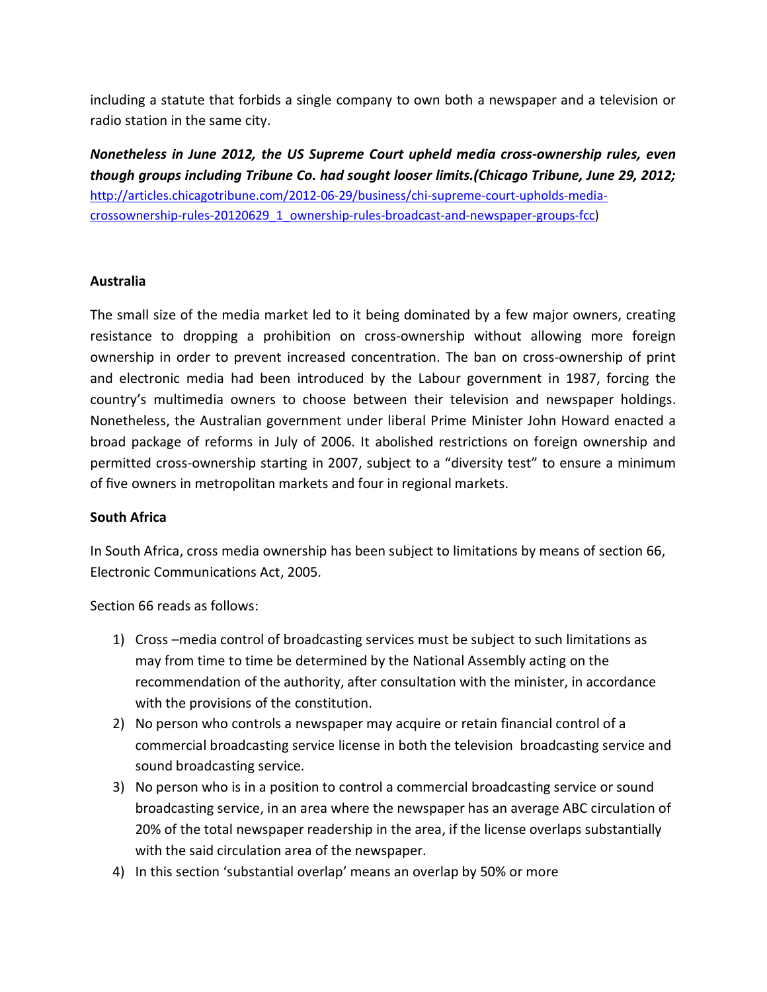including a statute that forbids a single company to own both a newspaper and a television or radio station in the same city.

*Nonetheless in June 2012, the US Supreme Court upheld media cross-ownership rules, even though groups including Tribune Co. had sought looser limits.(Chicago Tribune, June 29, 2012;*  [http://articles.chicagotribune.com/2012-06-29/business/chi-supreme-court-upholds-media](http://articles.chicagotribune.com/2012-06-29/business/chi-supreme-court-upholds-media-crossownership-rules-20120629_1_ownership-rules-broadcast-and-newspaper-groups-fcc)[crossownership-rules-20120629\\_1\\_ownership-rules-broadcast-and-newspaper-groups-fcc\)](http://articles.chicagotribune.com/2012-06-29/business/chi-supreme-court-upholds-media-crossownership-rules-20120629_1_ownership-rules-broadcast-and-newspaper-groups-fcc)

### **Australia**

The small size of the media market led to it being dominated by a few major owners, creating resistance to dropping a prohibition on cross-ownership without allowing more foreign ownership in order to prevent increased concentration. The ban on cross-ownership of print and electronic media had been introduced by the Labour government in 1987, forcing the country's multimedia owners to choose between their television and newspaper holdings. Nonetheless, the Australian government under liberal Prime Minister John Howard enacted a broad package of reforms in July of 2006. It abolished restrictions on foreign ownership and permitted cross-ownership starting in 2007, subject to a "diversity test" to ensure a minimum of five owners in metropolitan markets and four in regional markets.

#### **South Africa**

In South Africa, cross media ownership has been subject to limitations by means of section 66, Electronic Communications Act, 2005.

Section 66 reads as follows:

- 1) Cross –media control of broadcasting services must be subject to such limitations as may from time to time be determined by the National Assembly acting on the recommendation of the authority, after consultation with the minister, in accordance with the provisions of the constitution.
- 2) No person who controls a newspaper may acquire or retain financial control of a commercial broadcasting service license in both the television broadcasting service and sound broadcasting service.
- 3) No person who is in a position to control a commercial broadcasting service or sound broadcasting service, in an area where the newspaper has an average ABC circulation of 20% of the total newspaper readership in the area, if the license overlaps substantially with the said circulation area of the newspaper.
- 4) In this section 'substantial overlap' means an overlap by 50% or more